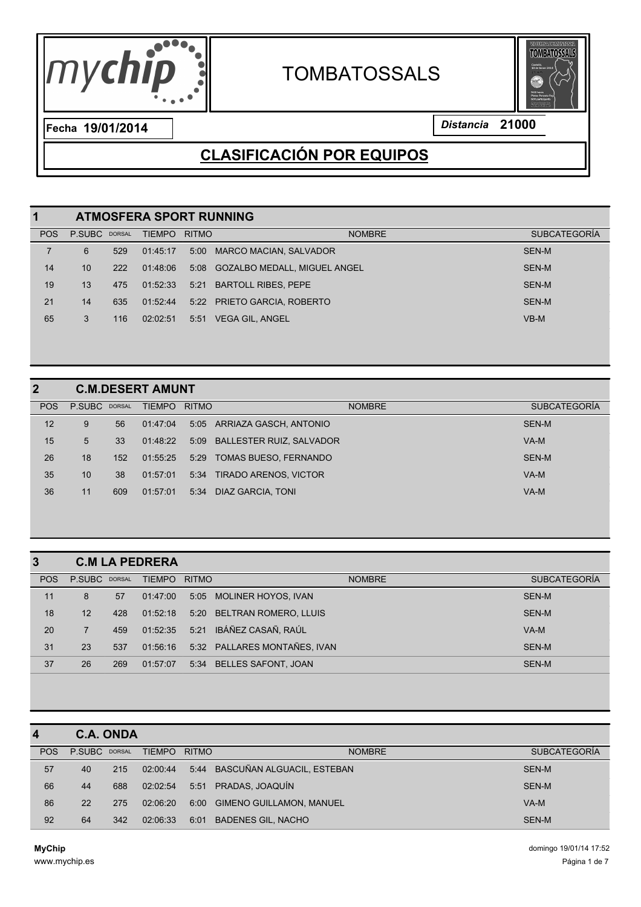

# **TOMBATOSSALS**



**19/01/2014** *Distancia* **21000 Fecha**

## **CLASIFICACIÓN POR EQUIPOS**

| 1          |               | <b>ATMOSFERA SPORT RUNNING</b> |               |              |                                   |                     |  |  |  |  |  |  |
|------------|---------------|--------------------------------|---------------|--------------|-----------------------------------|---------------------|--|--|--|--|--|--|
| <b>POS</b> | P.SUBC DORSAL |                                | <b>TIEMPO</b> | <b>RITMO</b> | <b>NOMBRE</b>                     | <b>SUBCATEGORÍA</b> |  |  |  |  |  |  |
| 7          | 6             | 529                            | 01:45:17      | 5:00         | <b>MARCO MACIAN, SALVADOR</b>     | SEN-M               |  |  |  |  |  |  |
| 14         | 10            | 222                            | 01:48:06      |              | 5:08 GOZALBO MEDALL, MIGUEL ANGEL | SEN-M               |  |  |  |  |  |  |
| 19         | 13            | 475                            | 01:52:33      | 5:21         | <b>BARTOLL RIBES, PEPE</b>        | SEN-M               |  |  |  |  |  |  |
| 21         | 14            | 635                            | 01:52:44      |              | 5:22 PRIETO GARCIA, ROBERTO       | SEN-M               |  |  |  |  |  |  |
| 65         | 3             | 116                            | 02:02:51      | 5:51         | VEGA GIL. ANGEL                   | $VB-M$              |  |  |  |  |  |  |
|            |               |                                |               |              |                                   |                     |  |  |  |  |  |  |

#### **C.M.DESERT AMUNT**

| <b>POS</b> | P.SUBC DORSAL |     | <b>TIEMPO</b> | <b>RITMO</b> | <b>NOMBRE</b>                 | <b>SUBCATEGORÍA</b> |
|------------|---------------|-----|---------------|--------------|-------------------------------|---------------------|
| 12         | 9             | 56  | 01:47:04      |              | 5:05 ARRIAZA GASCH, ANTONIO   | SEN-M               |
| 15         | 5             | 33  | 01:48:22      |              | 5:09 BALLESTER RUIZ, SALVADOR | VA-M                |
| 26         | 18            | 152 | 01:55:25      | 5:29         | TOMAS BUESO. FERNANDO         | SEN-M               |
| 35         | 10            | 38  | 01:57:01      |              | 5:34 TIRADO ARENOS, VICTOR    | $VA-M$              |
| 36         | 11            | 609 | 01:57:01      |              | 5:34 DIAZ GARCIA, TONI        | VA-M                |
|            |               |     |               |              |                               |                     |

| $\overline{3}$ |                |     | <b>C.M LA PEDRERA</b> |              |                              |                     |
|----------------|----------------|-----|-----------------------|--------------|------------------------------|---------------------|
| <b>POS</b>     | P.SUBC DORSAL  |     | <b>TIEMPO</b>         | <b>RITMO</b> | <b>NOMBRE</b>                | <b>SUBCATEGORÍA</b> |
| 11             | 8              | 57  | 01:47:00              | 5:05         | MOLINER HOYOS, IVAN          | SEN-M               |
| 18             | 12             | 428 | 01:52:18              | 5:20         | <b>BELTRAN ROMERO, LLUIS</b> | <b>SEN-M</b>        |
| 20             | $\overline{7}$ | 459 | 01:52:35              | 5:21         | IBÁÑEZ CASAÑ, RAÚL           | $VA-M$              |
| 31             | 23             | 537 | 01:56:16              |              | 5:32 PALLARES MONTAÑES, IVAN | SEN-M               |
| 37             | 26             | 269 | 01:57:07              | 5:34         | <b>BELLES SAFONT, JOAN</b>   | SEN-M               |

| $\boldsymbol{4}$ |               | <b>C.A. ONDA</b> |               |              |                                 |                     |
|------------------|---------------|------------------|---------------|--------------|---------------------------------|---------------------|
| <b>POS</b>       | P.SUBC DORSAL |                  | <b>TIEMPO</b> | <b>RITMO</b> | <b>NOMBRE</b>                   | <b>SUBCATEGORÍA</b> |
| 57               | 40            | 215              | 02:00:44      |              | 5:44 BASCUÑAN ALGUACIL, ESTEBAN | SEN-M               |
| 66               | 44            | 688              | 02:02:54      | 5:51         | PRADAS, JOAQUÍN                 | SEN-M               |
| 86               | 22            | 275              | 02:06:20      | 6:00         | <b>GIMENO GUILLAMON, MANUEL</b> | VA-M                |
| 92               | 64            | 342              | 02:06:33      | 6:01         | <b>BADENES GIL, NACHO</b>       | SEN-M               |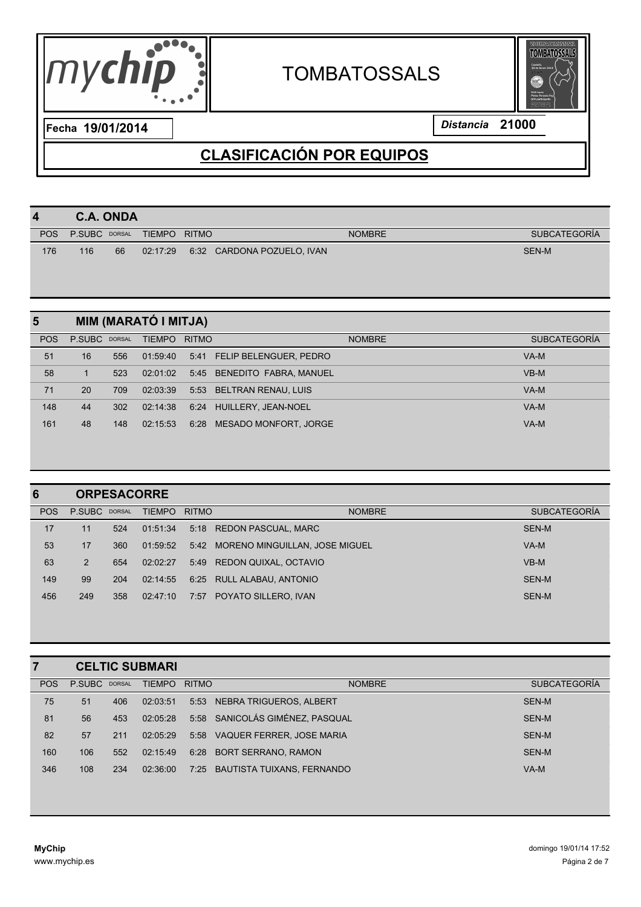



| $\boldsymbol{4}$ | <b>C.A. ONDA</b> |               |               |              |                            |                     |  |  |  |
|------------------|------------------|---------------|---------------|--------------|----------------------------|---------------------|--|--|--|
| <b>POS</b>       | P.SUBC           | <b>DORSAL</b> | <b>TIEMPO</b> | <b>RITMO</b> | <b>NOMBRE</b>              | <b>SUBCATEGORÍA</b> |  |  |  |
| 176              | 116              | 66            | 02:17:29      |              | 6:32 CARDONA POZUELO, IVAN | SEN-M               |  |  |  |
|                  |                  |               |               |              |                            |                     |  |  |  |

| 5          |               | MIM (MARATÓ I MITJA) |               |              |                              |                     |  |  |  |  |  |  |
|------------|---------------|----------------------|---------------|--------------|------------------------------|---------------------|--|--|--|--|--|--|
| <b>POS</b> | P.SUBC DORSAL |                      | <b>TIEMPO</b> | <b>RITMO</b> | <b>NOMBRE</b>                | <b>SUBCATEGORÍA</b> |  |  |  |  |  |  |
| 51         | 16            | 556                  | 01:59:40      |              | 5:41 FELIP BELENGUER, PEDRO  | VA-M                |  |  |  |  |  |  |
| 58         | וי            | 523                  | 02:01:02      |              | 5:45 BENEDITO FABRA, MANUEL  | $VB-M$              |  |  |  |  |  |  |
| 71         | 20            | 709                  | 02:03:39      | 5:53         | BELTRAN RENAU, LUIS          | VA-M                |  |  |  |  |  |  |
| 148        | 44            | 302                  | 02:14:38      | 6:24         | HUILLERY, JEAN-NOEL          | VA-M                |  |  |  |  |  |  |
| 161        | 48            | 148                  | 02:15:53      | 6:28         | <b>MESADO MONFORT, JORGE</b> | VA-M                |  |  |  |  |  |  |

| <b>ORPESACORRE</b> |     |               |      |               |                                                                                                                                                               |  |  |  |
|--------------------|-----|---------------|------|---------------|---------------------------------------------------------------------------------------------------------------------------------------------------------------|--|--|--|
|                    |     | <b>TIEMPO</b> |      | <b>NOMBRE</b> | <b>SUBCATEGORÍA</b>                                                                                                                                           |  |  |  |
| 11                 | 524 | 01:51:34      |      |               | SEN-M                                                                                                                                                         |  |  |  |
| 17                 | 360 | 01:59:52      |      |               | $VA-M$                                                                                                                                                        |  |  |  |
| 2                  | 654 | 02:02:27      |      |               | $VB-M$                                                                                                                                                        |  |  |  |
| 99                 | 204 | 02:14:55      | 6:25 |               | SEN-M                                                                                                                                                         |  |  |  |
| 249                | 358 | 02:47:10      | 7:57 |               | SEN-M                                                                                                                                                         |  |  |  |
|                    |     | P.SUBC DORSAL |      |               | <b>RITMO</b><br>5:18 REDON PASCUAL, MARC<br>5:42 MORENO MINGUILLAN, JOSE MIGUEL<br>5:49 REDON QUIXAL, OCTAVIO<br>RULL ALABAU, ANTONIO<br>POYATO SILLERO, IVAN |  |  |  |

|            |               |     | <b>CELTIC SUBMARI</b> |              |                                 |                     |
|------------|---------------|-----|-----------------------|--------------|---------------------------------|---------------------|
| <b>POS</b> | P.SUBC DORSAL |     | <b>TIEMPO</b>         | <b>RITMO</b> | <b>NOMBRE</b>                   | <b>SUBCATEGORÍA</b> |
| 75         | 51            | 406 | 02:03:51              | 5:53         | NEBRA TRIGUEROS, ALBERT         | SEN-M               |
| 81         | 56            | 453 | 02:05:28              |              | 5:58 SANICOLÁS GIMÉNEZ, PASQUAL | SEN-M               |
| 82         | 57            | 211 | 02:05:29              |              | 5:58 VAQUER FERRER, JOSE MARIA  | SEN-M               |
| 160        | 106           | 552 | 02:15:49              | 6:28         | <b>BORT SERRANO, RAMON</b>      | SEN-M               |
| 346        | 108           | 234 | 02:36:00              | 7:25         | BAUTISTA TUIXANS, FERNANDO      | VA-M                |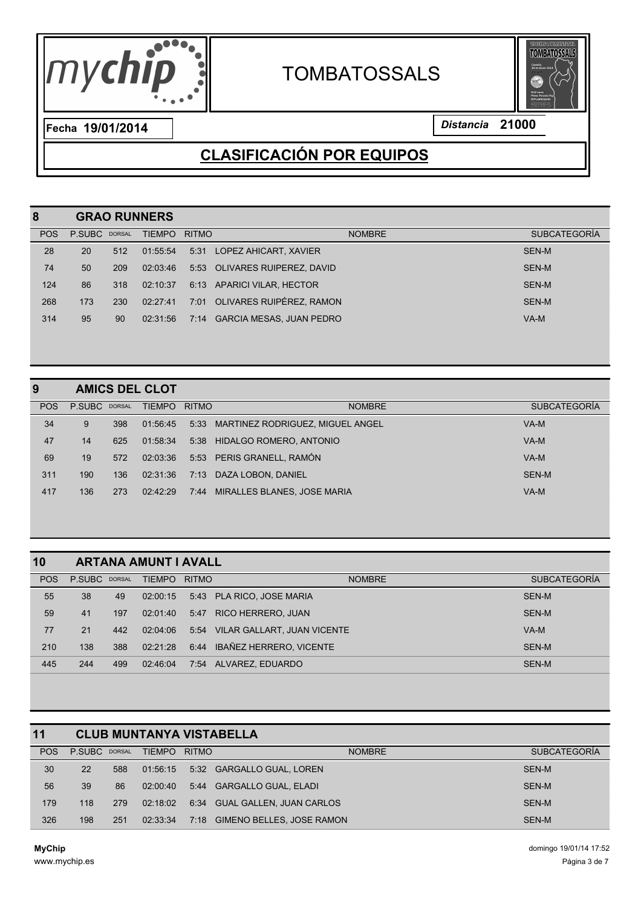

# **TOMBATOSSALS**



**19/01/2014** *Distancia* **21000 Fecha**

## **CLASIFICACIÓN POR EQUIPOS**

| 8          |               |     | <b>GRAO RUNNERS</b> |              |                                 |                     |
|------------|---------------|-----|---------------------|--------------|---------------------------------|---------------------|
| <b>POS</b> | P.SUBC DORSAL |     | <b>TIEMPO</b>       | <b>RITMO</b> | <b>NOMBRE</b>                   | <b>SUBCATEGORÍA</b> |
| 28         | 20            | 512 | 01:55:54            | 5:31         | LOPEZ AHICART, XAVIER           | <b>SEN-M</b>        |
| 74         | 50            | 209 | 02:03:46            |              | 5:53 OLIVARES RUIPEREZ, DAVID   | SEN-M               |
| 124        | 86            | 318 | 02:10:37            |              | 6:13 APARICI VILAR, HECTOR      | SEN-M               |
| 268        | 173           | 230 | 02:27:41            | 7:01         | OLIVARES RUIPÉREZ, RAMON        | SEN-M               |
| 314        | 95            | 90  | 02:31:56            | 7:14         | <b>GARCIA MESAS, JUAN PEDRO</b> | VA-M                |
|            |               |     |                     |              |                                 |                     |

#### **AMICS DEL CLOT**

| <b>POS</b> | P.SUBC DORSAL |     | TIEMPO   | <b>RITMO</b> | <b>NOMBRE</b>                         | <b>SUBCATEGORÍA</b> |
|------------|---------------|-----|----------|--------------|---------------------------------------|---------------------|
| 34         | 9             | 398 | 01:56:45 |              | 5:33 MARTINEZ RODRIGUEZ, MIGUEL ANGEL | VA-M                |
| 47         | 14            | 625 | 01:58:34 |              | 5:38 HIDALGO ROMERO, ANTONIO          | VA-M                |
| 69         | 19            | 572 | 02:03:36 |              | 5:53 PERIS GRANELL. RAMÓN             | VA-M                |
| 311        | 190           | 136 | 02:31:36 |              | 7:13 DAZA LOBON, DANIEL               | SEN-M               |
| 417        | 136           | 273 | 02:42:29 | 7:44         | MIRALLES BLANES, JOSE MARIA           | VA-M                |
|            |               |     |          |              |                                       |                     |

| 10         | <b>ARTANA AMUNT I AVALL</b> |     |               |              |                                  |                     |  |  |  |  |  |
|------------|-----------------------------|-----|---------------|--------------|----------------------------------|---------------------|--|--|--|--|--|
| <b>POS</b> | P.SUBC DORSAL               |     | <b>TIEMPO</b> | <b>RITMO</b> | <b>NOMBRE</b>                    | <b>SUBCATEGORÍA</b> |  |  |  |  |  |
| 55         | 38                          | 49  | 02:00:15      | 5:43         | <b>PLA RICO, JOSE MARIA</b>      | SEN-M               |  |  |  |  |  |
| 59         | 41                          | 197 | 02:01:40      | 5:47         | <b>RICO HERRERO, JUAN</b>        | SEN-M               |  |  |  |  |  |
| 77         | 21                          | 442 | 02:04:06      |              | 5:54 VILAR GALLART, JUAN VICENTE | VA-M                |  |  |  |  |  |
| 210        | 138                         | 388 | 02:21:28      | 6:44         | IBAÑEZ HERRERO. VICENTE          | SEN-M               |  |  |  |  |  |
| 445        | 244                         | 499 | 02:46:04      | 7:54         | ALVAREZ, EDUARDO                 | SEN-M               |  |  |  |  |  |

| 11         |               |     |               |              | <b>CLUB MUNTANYA VISTABELLA</b>  |                     |
|------------|---------------|-----|---------------|--------------|----------------------------------|---------------------|
| <b>POS</b> | P.SUBC DORSAL |     | <b>TIEMPO</b> | <b>RITMO</b> | <b>NOMBRE</b>                    | <b>SUBCATEGORÍA</b> |
| 30         | 22            | 588 | 01:56:15      |              | 5:32 GARGALLO GUAL, LOREN        | SEN-M               |
| 56         | 39            | 86  | 02:00:40      |              | 5:44 GARGALLO GUAL, ELADI        | SEN-M               |
| 179        | 118           | 279 | 02:18:02      |              | 6:34 GUAL GALLEN, JUAN CARLOS    | SEN-M               |
| 326        | 198           | 251 | 02:33:34      | 7:18         | <b>GIMENO BELLES, JOSE RAMON</b> | SEN-M               |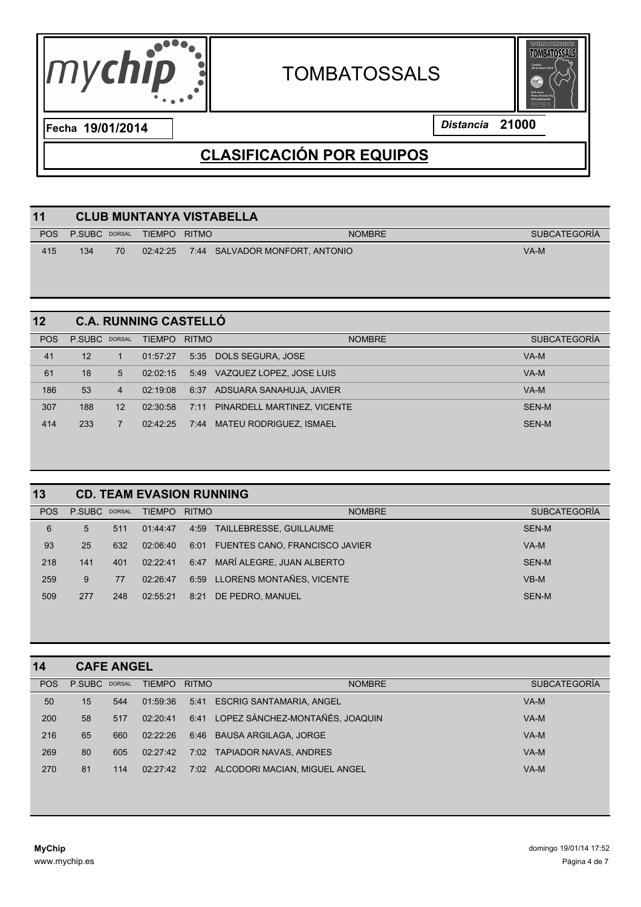



| <b>POS</b><br>P.SUBC DORSAL<br>TIEMPO RITMO<br><b>NOMBRE</b>           |                     |
|------------------------------------------------------------------------|---------------------|
|                                                                        | <b>SUBCATEGORÍA</b> |
| VA-M<br>415<br>70<br>134<br>02:42:25<br>7:44 SALVADOR MONFORT, ANTONIO |                     |

| 12         |               |                | <b>C.A. RUNNING CASTELLÓ</b> |              |                             |                     |
|------------|---------------|----------------|------------------------------|--------------|-----------------------------|---------------------|
| <b>POS</b> | P.SUBC DORSAL |                | <b>TIEMPO</b>                | <b>RITMO</b> | <b>NOMBRE</b>               | <b>SUBCATEGORÍA</b> |
| 41         | 12            |                | 01:57:27                     |              | 5:35 DOLS SEGURA, JOSE      | VA-M                |
| 61         | 18            | 5              | 02:02:15                     | 5:49         | VAZQUEZ LOPEZ, JOSE LUIS    | VA-M                |
| 186        | 53            | $\overline{4}$ | 02:19:08                     | 6:37         | ADSUARA SANAHUJA, JAVIER    | VA-M                |
| 307        | 188           | 12             | 02:30:58                     | 7:11         | PINARDELL MARTINEZ, VICENTE | SEN-M               |
| 414        | 233           |                | 02:42:25                     | 7:44         | MATEU RODRIGUEZ. ISMAEL     | SEN-M               |

| 13         |               |     | <b>CD. TEAM EVASION RUNNING</b> |              |                                       |                     |
|------------|---------------|-----|---------------------------------|--------------|---------------------------------------|---------------------|
| <b>POS</b> | P.SUBC DORSAL |     | <b>TIEMPO</b>                   | <b>RITMO</b> | <b>NOMBRE</b>                         | <b>SUBCATEGORÍA</b> |
| 6          | 5             | 511 | 01:44:47                        | 4:59         | TAILLEBRESSE, GUILLAUME               | SEN-M               |
| 93         | 25            | 632 | 02:06:40                        | 6:01         | <b>FUENTES CANO, FRANCISCO JAVIER</b> | $VA-M$              |
| 218        | 141           | 401 | 02:22:41                        | 6:47         | MARÍ ALEGRE, JUAN ALBERTO             | SEN-M               |
| 259        | 9             | 77  | 02:26:47                        | 6:59         | LLORENS MONTAÑES, VICENTE             | $VB-M$              |
| 509        | 277           | 248 | 02:55:21                        | 8:21         | DE PEDRO, MANUEL                      | SEN-M               |
|            |               |     |                                 |              |                                       |                     |

| 14         |        | <b>CAFE ANGEL</b> |               |              |                                    |                     |
|------------|--------|-------------------|---------------|--------------|------------------------------------|---------------------|
| <b>POS</b> | P.SUBC | DORSAL            | <b>TIEMPO</b> | <b>RITMO</b> | <b>NOMBRE</b>                      | <b>SUBCATEGORÍA</b> |
| 50         | 15     | 544               | 01:59:36      | 5:41         | <b>ESCRIG SANTAMARIA, ANGEL</b>    | $VA-M$              |
| 200        | 58     | 517               | 02:20:41      | 6:41         | LOPEZ SÁNCHEZ-MONTAÑÉS, JOAQUIN    | VA-M                |
| 216        | 65     | 660               | 02:22:26      |              | 6:46 BAUSA ARGILAGA, JORGE         | $VA-M$              |
| 269        | 80     | 605               | 02:27:42      | 7:02         | <b>TAPIADOR NAVAS, ANDRES</b>      | $VA-M$              |
| 270        | 81     | 114               | 02:27:42      |              | 7:02 ALCODORI MACIAN, MIGUEL ANGEL | VA-M                |
|            |        |                   |               |              |                                    |                     |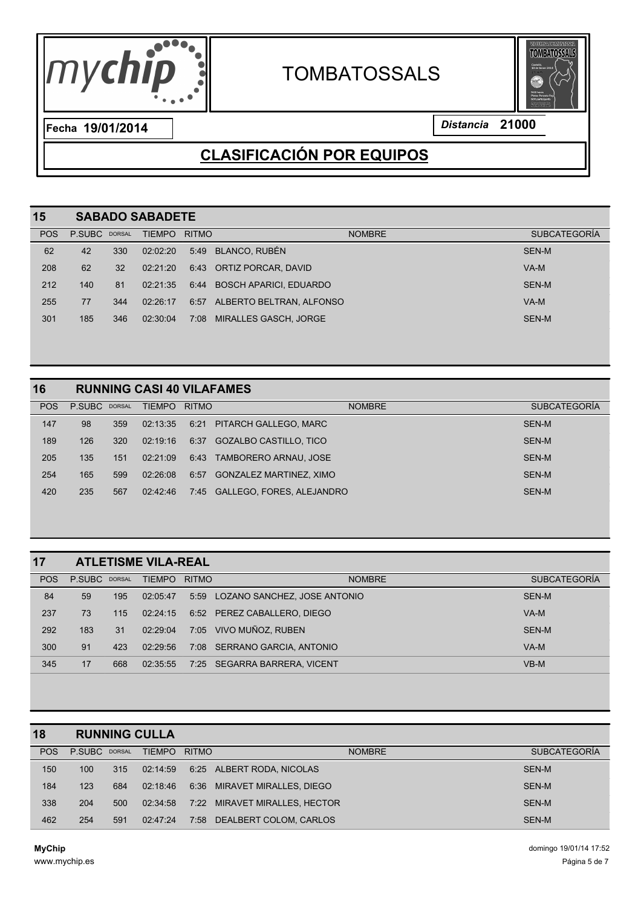

# **TOMBATOSSALS**



**19/01/2014** *Distancia* **21000 Fecha**

## **CLASIFICACIÓN POR EQUIPOS**

| 15         | <b>SABADO SABADETE</b> |     |               |              |                               |                     |  |  |  |
|------------|------------------------|-----|---------------|--------------|-------------------------------|---------------------|--|--|--|
| <b>POS</b> | P.SUBC DORSAL          |     | <b>TIEMPO</b> | <b>RITMO</b> | <b>NOMBRE</b>                 | <b>SUBCATEGORÍA</b> |  |  |  |
| 62         | 42                     | 330 | 02:02:20      | 5:49         | <b>BLANCO, RUBÉN</b>          | SEN-M               |  |  |  |
| 208        | 62                     | 32  | 02:21:20      |              | 6:43 ORTIZ PORCAR, DAVID      | VA-M                |  |  |  |
| 212        | 140                    | 81  | 02:21:35      | 6:44         | <b>BOSCH APARICI, EDUARDO</b> | SEN-M               |  |  |  |
| 255        | 77                     | 344 | 02:26:17      |              | 6:57 ALBERTO BELTRAN, ALFONSO | VA-M                |  |  |  |
| 301        | 185                    | 346 | 02:30:04      | 7:08         | MIRALLES GASCH, JORGE         | SEN-M               |  |  |  |
|            |                        |     |               |              |                               |                     |  |  |  |

#### **RUNNING CASI 40 VILAFAMES**

| 147<br>98<br>359<br>SEN-M<br>6:21 PITARCH GALLEGO, MARC<br>02:13:35<br>189<br>SEN-M<br>126<br>320<br>6:37<br>GOZALBO CASTILLO, TICO<br>02:19:16<br>205<br>135<br>TAMBORERO ARNAU, JOSE<br>SEN-M<br>6:43<br>151<br>02:21:09 | <b>POS</b> | P.SUBC DORSAL |     | <b>TIEMPO</b> | <b>RITMO</b> | <b>NOMBRE</b>                  | <b>SUBCATEGORÍA</b> |
|----------------------------------------------------------------------------------------------------------------------------------------------------------------------------------------------------------------------------|------------|---------------|-----|---------------|--------------|--------------------------------|---------------------|
|                                                                                                                                                                                                                            |            |               |     |               |              |                                |                     |
|                                                                                                                                                                                                                            |            |               |     |               |              |                                |                     |
|                                                                                                                                                                                                                            |            |               |     |               |              |                                |                     |
|                                                                                                                                                                                                                            | 254        | 165           | 599 | 02:26:08      | 6:57         | <b>GONZALEZ MARTINEZ, XIMO</b> | SEN-M               |
| 567<br>235<br>7:45 GALLEGO, FORES, ALEJANDRO<br>SEN-M<br>420<br>02:42:46                                                                                                                                                   |            |               |     |               |              |                                |                     |

| 17         |               |     | <b>ATLETISME VILA-REAL</b> |              |                              |                     |
|------------|---------------|-----|----------------------------|--------------|------------------------------|---------------------|
| <b>POS</b> | P.SUBC DORSAL |     | <b>TIEMPO</b>              | <b>RITMO</b> | <b>NOMBRE</b>                | <b>SUBCATEGORÍA</b> |
| 84         | 59            | 195 | 02:05:47                   | 5:59         | LOZANO SANCHEZ, JOSE ANTONIO | SEN-M               |
| 237        | 73            | 115 | 02:24:15                   |              | 6:52 PEREZ CABALLERO, DIEGO  | $VA-M$              |
| 292        | 183           | 31  | 02:29:04                   |              | 7:05 VIVO MUÑOZ, RUBEN       | SEN-M               |
| 300        | 91            | 423 | 02:29:56                   |              | 7:08 SERRANO GARCIA, ANTONIO | VA-M                |
| 345        | 17            | 668 | 02:35:55                   |              | 7:25 SEGARRA BARRERA, VICENT | $VB-M$              |

| 18         |               |     | <b>RUNNING CULLA</b> |              |                           |                     |
|------------|---------------|-----|----------------------|--------------|---------------------------|---------------------|
| <b>POS</b> | P.SUBC DORSAL |     | <b>TIEMPO</b>        | <b>RITMO</b> | <b>NOMBRE</b>             | <b>SUBCATEGORÍA</b> |
| 150        | 100           | 315 | 02:14:59             |              | 6:25 ALBERT RODA, NICOLAS | SEN-M               |
| 184        | 123           | 684 | 02:18:46             | 6:36         | MIRAVET MIRALLES, DIEGO   | SEN-M               |
| 338        | 204           | 500 | 02:34:58             | 7:22         | MIRAVET MIRALLES, HECTOR  | SEN-M               |
| 462        | 254           | 591 | 02:47:24             | 7:58         | DEALBERT COLOM. CARLOS    | SEN-M               |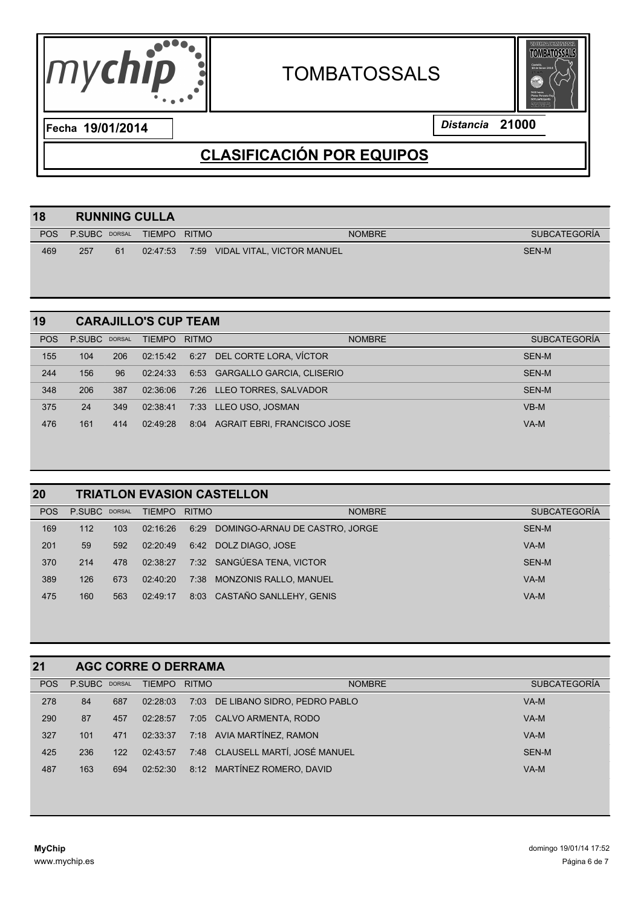



| 18         |               |    | <b>RUNNING CULLA</b> |              |                            |               |                     |
|------------|---------------|----|----------------------|--------------|----------------------------|---------------|---------------------|
| <b>POS</b> | P.SUBC DORSAL |    | <b>TIEMPO</b>        | <b>RITMO</b> |                            | <b>NOMBRE</b> | <b>SUBCATEGORÍA</b> |
| 469        | 257           | 61 | 02:47:53             | 7:59         | VIDAL VITAL, VICTOR MANUEL |               | <b>SEN-M</b>        |
|            |               |    |                      |              |                            |               |                     |

|     |     | <b>TIEMPO</b> |      | <b>NOMBRE</b> | <b>SUBCATEGORÍA</b>                                                                                                                                                                           |
|-----|-----|---------------|------|---------------|-----------------------------------------------------------------------------------------------------------------------------------------------------------------------------------------------|
| 104 | 206 | 02:15:42      | 6:27 |               | SEN-M                                                                                                                                                                                         |
| 156 | 96  | 02:24:33      |      |               | SEN-M                                                                                                                                                                                         |
| 206 | 387 | 02:36:06      |      |               | SEN-M                                                                                                                                                                                         |
| 24  | 349 | 02:38:41      |      |               | $VB-M$                                                                                                                                                                                        |
| 161 | 414 | 02:49:28      | 8:04 |               | VA-M                                                                                                                                                                                          |
|     |     | P.SUBC DORSAL |      |               | <b>CARAJILLO'S CUP TEAM</b><br><b>RITMO</b><br>DEL CORTE LORA, VÍCTOR<br>6:53 GARGALLO GARCIA, CLISERIO<br>7:26 LLEO TORRES, SALVADOR<br>7:33 LLEO USO, JOSMAN<br>AGRAIT EBRI. FRANCISCO JOSE |

| 20         | <b>TRIATLON EVASION CASTELLON</b> |     |               |              |                                |                     |  |  |  |  |
|------------|-----------------------------------|-----|---------------|--------------|--------------------------------|---------------------|--|--|--|--|
| <b>POS</b> | P.SUBC DORSAL                     |     | <b>TIEMPO</b> | <b>RITMO</b> | <b>NOMBRE</b>                  | <b>SUBCATEGORÍA</b> |  |  |  |  |
| 169        | 112                               | 103 | 02:16:26      | 6:29         | DOMINGO-ARNAU DE CASTRO, JORGE | SEN-M               |  |  |  |  |
| 201        | 59                                | 592 | 02:20:49      | 6:42         | DOLZ DIAGO, JOSE               | $VA-M$              |  |  |  |  |
| 370        | 214                               | 478 | 02:38:27      |              | 7:32 SANGÚESA TENA, VICTOR     | SEN-M               |  |  |  |  |
| 389        | 126                               | 673 | 02:40:20      | 7:38         | MONZONIS RALLO, MANUEL         | VA-M                |  |  |  |  |
| 475        | 160                               | 563 | 02:49:17      | 8:03         | CASTAÑO SANLLEHY, GENIS        | VA-M                |  |  |  |  |
|            |                                   |     |               |              |                                |                     |  |  |  |  |

| 21         |               |     | <b>AGC CORRE O DERRAMA</b> |              |                                  |                     |
|------------|---------------|-----|----------------------------|--------------|----------------------------------|---------------------|
| <b>POS</b> | P.SUBC DORSAL |     | <b>TIEMPO</b>              | <b>RITMO</b> | <b>NOMBRE</b>                    | <b>SUBCATEGORÍA</b> |
| 278        | 84            | 687 | 02:28:03                   | 7:03         | DE LIBANO SIDRO, PEDRO PABLO     | VA-M                |
| 290        | 87            | 457 | 02:28:57                   |              | 7:05 CALVO ARMENTA, RODO         | VA-M                |
| 327        | 101           | 471 | 02:33:37                   |              | 7:18 AVIA MARTÍNEZ, RAMON        | VA-M                |
| 425        | 236           | 122 | 02:43:57                   |              | 7:48 CLAUSELL MARTÍ, JOSÉ MANUEL | SEN-M               |
| 487        | 163           | 694 | 02:52:30                   | 8:12         | MARTÍNEZ ROMERO. DAVID           | VA-M                |
|            |               |     |                            |              |                                  |                     |